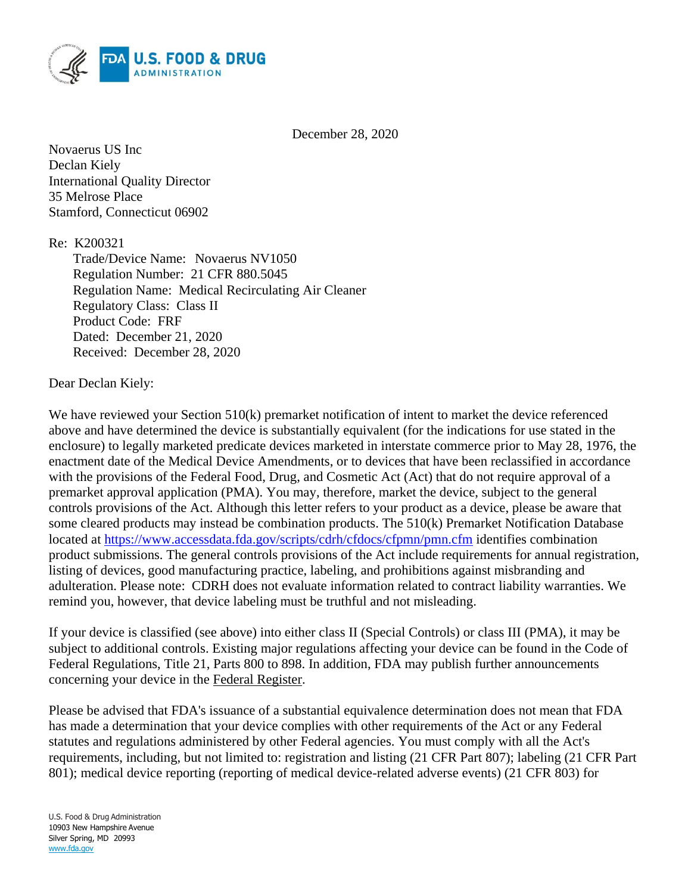

December 28, 2020

Novaerus US Inc Declan Kiely International Quality Director 35 Melrose Place Stamford, Connecticut 06902

Re: K200321

Trade/Device Name: Novaerus NV1050 Regulation Number: 21 CFR 880.5045 Regulation Name: Medical Recirculating Air Cleaner Regulatory Class: Class II Product Code: FRF Dated: December 21, 2020 Received: December 28, 2020

Dear Declan Kiely:

We have reviewed your Section 510(k) premarket notification of intent to market the device referenced above and have determined the device is substantially equivalent (for the indications for use stated in the enclosure) to legally marketed predicate devices marketed in interstate commerce prior to May 28, 1976, the enactment date of the Medical Device Amendments, or to devices that have been reclassified in accordance with the provisions of the Federal Food, Drug, and Cosmetic Act (Act) that do not require approval of a premarket approval application (PMA). You may, therefore, market the device, subject to the general controls provisions of the Act. Although this letter refers to your product as a device, please be aware that some cleared products may instead be combination products. The 510(k) Premarket Notification Database located at<https://www.accessdata.fda.gov/scripts/cdrh/cfdocs/cfpmn/pmn.cfm> identifies combination product submissions. The general controls provisions of the Act include requirements for annual registration, listing of devices, good manufacturing practice, labeling, and prohibitions against misbranding and adulteration. Please note: CDRH does not evaluate information related to contract liability warranties. We remind you, however, that device labeling must be truthful and not misleading.

If your device is classified (see above) into either class II (Special Controls) or class III (PMA), it may be subject to additional controls. Existing major regulations affecting your device can be found in the Code of Federal Regulations, Title 21, Parts 800 to 898. In addition, FDA may publish further announcements concerning your device in the Federal Register.

Please be advised that FDA's issuance of a substantial equivalence determination does not mean that FDA has made a determination that your device complies with other requirements of the Act or any Federal statutes and regulations administered by other Federal agencies. You must comply with all the Act's requirements, including, but not limited to: registration and listing (21 CFR Part 807); labeling (21 CFR Part 801); medical device reporting (reporting of medical device-related adverse events) (21 CFR 803) for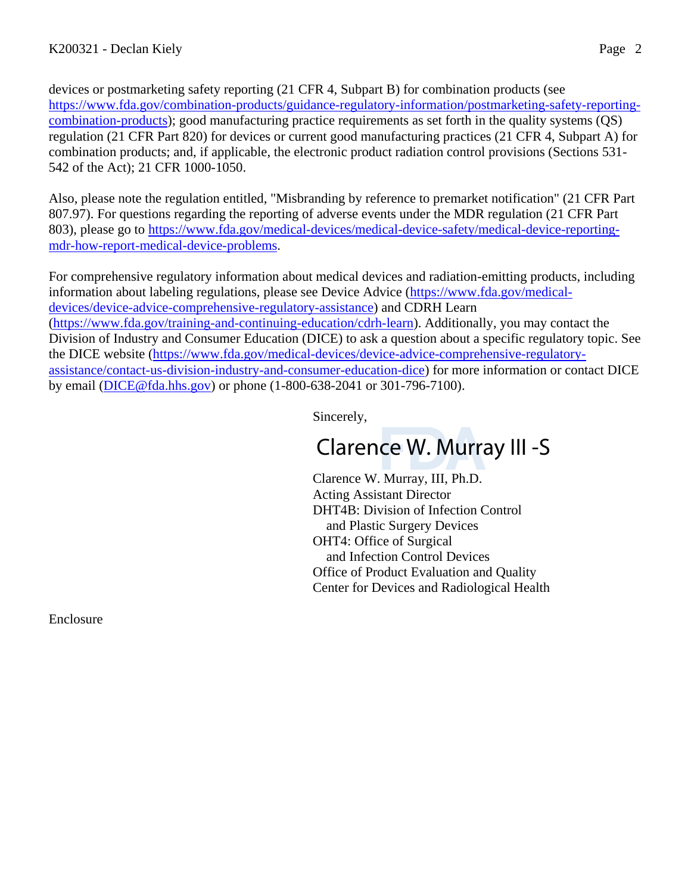devices or postmarketing safety reporting (21 CFR 4, Subpart B) for combination products (see [https://www.fda.gov/combination-products/guidance-regulatory-information/postmarketing-safety-reporting](https://www.fda.gov/combination-products/guidance-regulatory-information/postmarketing-safety-reporting-combination-products)[combination-products\)](https://www.fda.gov/combination-products/guidance-regulatory-information/postmarketing-safety-reporting-combination-products); good manufacturing practice requirements as set forth in the quality systems (QS) regulation (21 CFR Part 820) for devices or current good manufacturing practices (21 CFR 4, Subpart A) for combination products; and, if applicable, the electronic product radiation control provisions (Sections 531- 542 of the Act); 21 CFR 1000-1050.

Also, please note the regulation entitled, "Misbranding by reference to premarket notification" (21 CFR Part 807.97). For questions regarding the reporting of adverse events under the MDR regulation (21 CFR Part 803), please go to [https://www.fda.gov/medical-devices/medical-device-safety/medical-device-reporting](https://www.fda.gov/medical-devices/medical-device-safety/medical-device-reporting-mdr-how-report-medical-device-problems)[mdr-how-report-medical-device-problems.](https://www.fda.gov/medical-devices/medical-device-safety/medical-device-reporting-mdr-how-report-medical-device-problems)

For comprehensive regulatory information about medical devices and radiation-emitting products, including information about labeling regulations, please see Device Advice [\(https://www.fda.gov/medical](https://www.fda.gov/medical-devices/device-advice-comprehensive-regulatory-assistance)[devices/device-advice-comprehensive-regulatory-assistance\)](https://www.fda.gov/medical-devices/device-advice-comprehensive-regulatory-assistance) and CDRH Learn [\(https://www.fda.gov/training-and-continuing-education/cdrh-learn\)](https://www.fda.gov/training-and-continuing-education/cdrh-learn). Additionally, you may contact the Division of Industry and Consumer Education (DICE) to ask a question about a specific regulatory topic. See the DICE website [\(https://www.fda.gov/medical-devices/device-advice-comprehensive-regulatory](https://www.fda.gov/medical-devices/device-advice-comprehensive-regulatory-assistance/contact-us-division-industry-and-consumer-education-dice)[assistance/contact-us-division-industry-and-consumer-education-dice\)](https://www.fda.gov/medical-devices/device-advice-comprehensive-regulatory-assistance/contact-us-division-industry-and-consumer-education-dice) for more information or contact DICE by email [\(DICE@fda.hhs.gov\)](mailto:%20DICE@fda.hhs.gov) or phone (1-800-638-2041 or 301-796-7100).

Sincerely,

# Clarence W. Murray III -S

Clarence W. Murray, III, Ph.D. Acting Assistant Director DHT4B: Division of Infection Control and Plastic Surgery Devices OHT4: Office of Surgical and Infection Control Devices Office of Product Evaluation and Quality Center for Devices and Radiological Health

Enclosure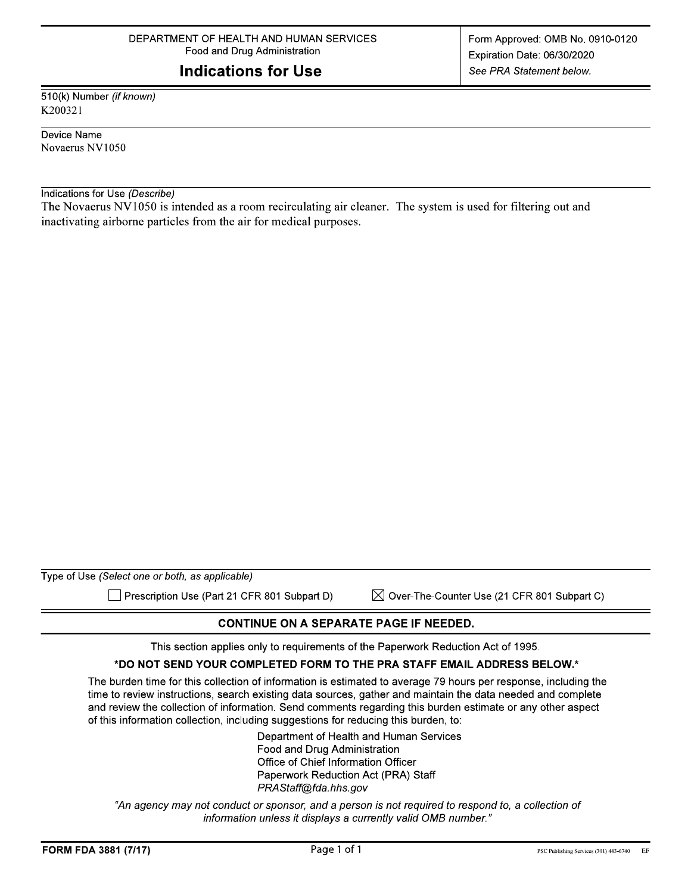## **Indications for Use**

510(k) Number (if known) K200321

Device Name Novaerus NV1050

Indications for Use (Describe)

The Novaerus NV1050 is intended as a room recirculating air cleaner. The system is used for filtering out and inactivating airborne particles from the air for medical purposes.

| Type of Use (Select one or both, as applicable) |  |
|-------------------------------------------------|--|

Prescription Use (Part 21 CFR 801 Subpart D)

 $\boxtimes$  Over-The-Counter Use (21 CFR 801 Subpart C)

#### **CONTINUE ON A SEPARATE PAGE IF NEEDED.**

This section applies only to requirements of the Paperwork Reduction Act of 1995.

#### \*DO NOT SEND YOUR COMPLETED FORM TO THE PRA STAFF EMAIL ADDRESS BELOW.\*

The burden time for this collection of information is estimated to average 79 hours per response, including the time to review instructions, search existing data sources, gather and maintain the data needed and complete and review the collection of information. Send comments regarding this burden estimate or any other aspect of this information collection, including suggestions for reducing this burden, to:

> Department of Health and Human Services Food and Drug Administration Office of Chief Information Officer Paperwork Reduction Act (PRA) Staff PRAStaff@fda.hhs.gov

"An agency may not conduct or sponsor, and a person is not required to respond to, a collection of information unless it displays a currently valid OMB number."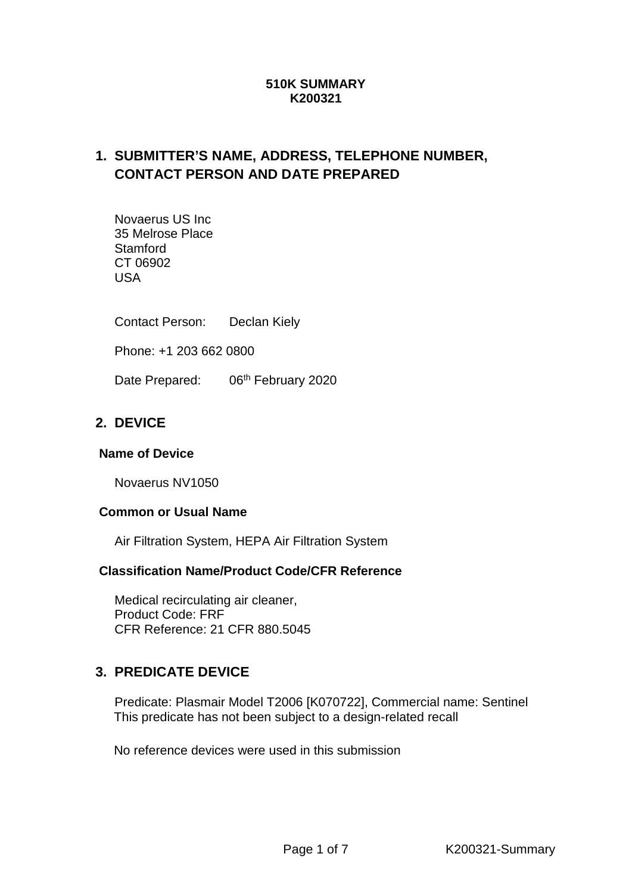#### **510K SUMMARY K200321**

# **1. SUBMITTER'S NAME, ADDRESS, TELEPHONE NUMBER, CONTACT PERSON AND DATE PREPARED**

Novaerus US Inc 35 Melrose Place **Stamford** CT 06902 USA

Contact Person: Declan Kiely

Phone: +1 203 662 0800

Date Prepared: 06<sup>th</sup> February 2020

## **2. DEVICE**

#### **Name of Device**

Novaerus NV1050

#### **Common or Usual Name**

Air Filtration System, HEPA Air Filtration System

#### **Classification Name/Product Code/CFR Reference**

Medical recirculating air cleaner, Product Code: FRF CFR Reference: 21 CFR 880.5045

### **3. PREDICATE DEVICE**

Predicate: Plasmair Model T2006 [K070722], Commercial name: Sentinel This predicate has not been subject to a design-related recall

No reference devices were used in this submission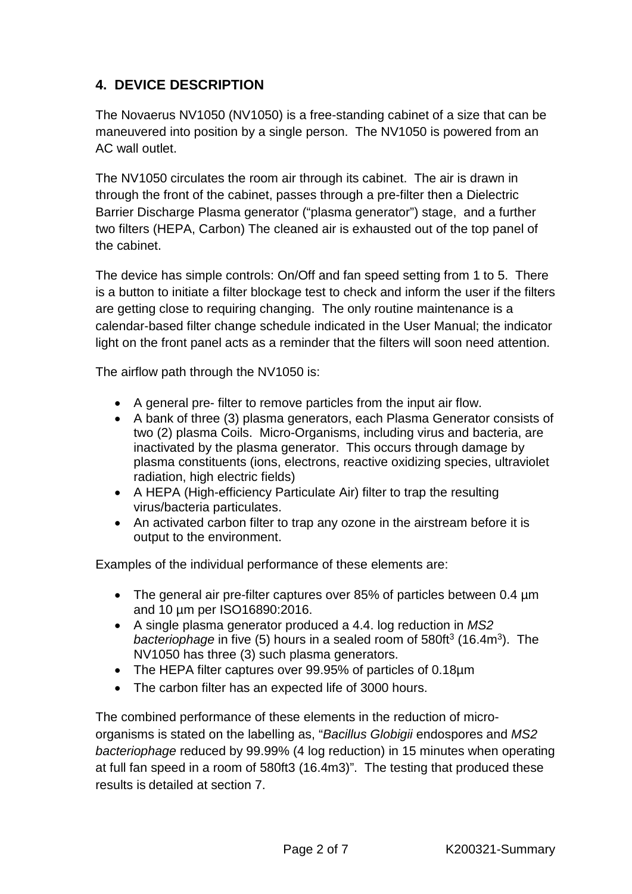# **4. DEVICE DESCRIPTION**

The Novaerus NV1050 (NV1050) is a free-standing cabinet of a size that can be maneuvered into position by a single person. The NV1050 is powered from an AC wall outlet.

The NV1050 circulates the room air through its cabinet. The air is drawn in through the front of the cabinet, passes through a pre-filter then a Dielectric Barrier Discharge Plasma generator ("plasma generator") stage, and a further two filters (HEPA, Carbon) The cleaned air is exhausted out of the top panel of the cabinet.

The device has simple controls: On/Off and fan speed setting from 1 to 5. There is a button to initiate a filter blockage test to check and inform the user if the filters are getting close to requiring changing. The only routine maintenance is a calendar-based filter change schedule indicated in the User Manual; the indicator light on the front panel acts as a reminder that the filters will soon need attention.

The airflow path through the NV1050 is:

- A general pre- filter to remove particles from the input air flow.
- A bank of three (3) plasma generators, each Plasma Generator consists of two (2) plasma Coils. Micro-Organisms, including virus and bacteria, are inactivated by the plasma generator. This occurs through damage by plasma constituents (ions, electrons, reactive oxidizing species, ultraviolet radiation, high electric fields)
- A HEPA (High-efficiency Particulate Air) filter to trap the resulting virus/bacteria particulates.
- An activated carbon filter to trap any ozone in the airstream before it is output to the environment.

Examples of the individual performance of these elements are:

- The general air pre-filter captures over 85% of particles between 0.4 µm and 10 µm per ISO16890:2016.
- A single plasma generator produced a 4.4. log reduction in *MS2 bacteriophage* in five (5) hours in a sealed room of 580ft<sup>3</sup> (16.4m<sup>3</sup>). The NV1050 has three (3) such plasma generators.
- The HEPA filter captures over 99.95% of particles of 0.18µm
- The carbon filter has an expected life of 3000 hours.

The combined performance of these elements in the reduction of microorganisms is stated on the labelling as, "*Bacillus Globigii* endospores and *MS2 bacteriophage* reduced by 99.99% (4 log reduction) in 15 minutes when operating at full fan speed in a room of 580ft3 (16.4m3)". The testing that produced these results is detailed at section 7.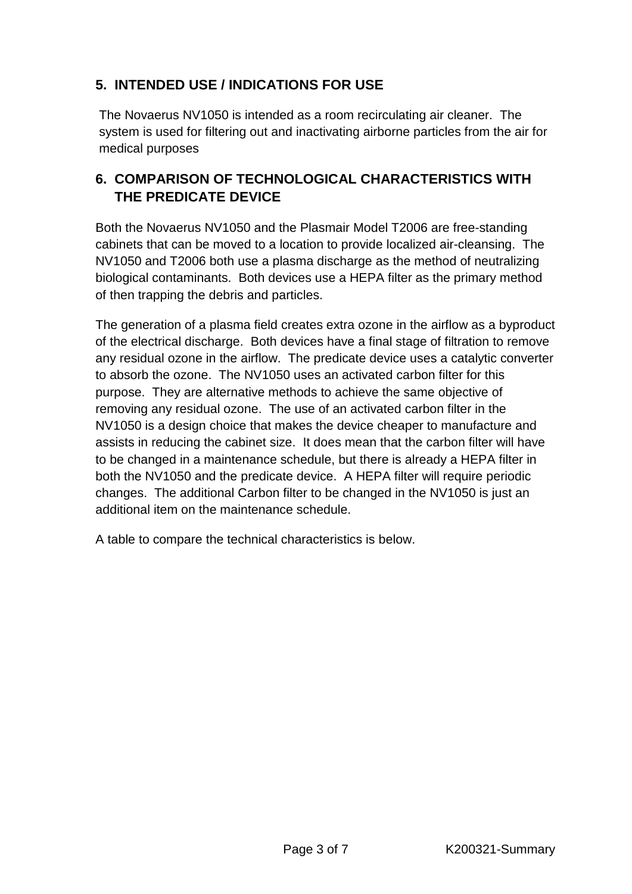# **5. INTENDED USE / INDICATIONS FOR USE**

The Novaerus NV1050 is intended as a room recirculating air cleaner. The system is used for filtering out and inactivating airborne particles from the air for medical purposes

# **6. COMPARISON OF TECHNOLOGICAL CHARACTERISTICS WITH THE PREDICATE DEVICE**

Both the Novaerus NV1050 and the Plasmair Model T2006 are free-standing cabinets that can be moved to a location to provide localized air-cleansing. The NV1050 and T2006 both use a plasma discharge as the method of neutralizing biological contaminants. Both devices use a HEPA filter as the primary method of then trapping the debris and particles.

The generation of a plasma field creates extra ozone in the airflow as a byproduct of the electrical discharge. Both devices have a final stage of filtration to remove any residual ozone in the airflow. The predicate device uses a catalytic converter to absorb the ozone. The NV1050 uses an activated carbon filter for this purpose. They are alternative methods to achieve the same objective of removing any residual ozone. The use of an activated carbon filter in the NV1050 is a design choice that makes the device cheaper to manufacture and assists in reducing the cabinet size. It does mean that the carbon filter will have to be changed in a maintenance schedule, but there is already a HEPA filter in both the NV1050 and the predicate device. A HEPA filter will require periodic changes. The additional Carbon filter to be changed in the NV1050 is just an additional item on the maintenance schedule.

A table to compare the technical characteristics is below.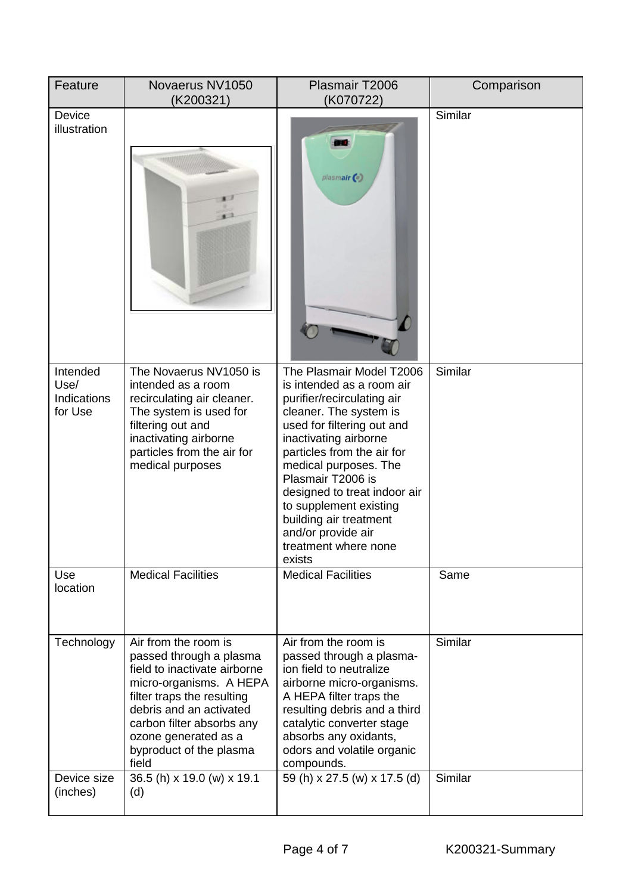| Feature                                    | Novaerus NV1050<br>(K200321)                                                                                                                                                                                                                                 | Plasmair T2006<br>(K070722)                                                                                                                                                                                                                                                                                                                                                                  | Comparison |
|--------------------------------------------|--------------------------------------------------------------------------------------------------------------------------------------------------------------------------------------------------------------------------------------------------------------|----------------------------------------------------------------------------------------------------------------------------------------------------------------------------------------------------------------------------------------------------------------------------------------------------------------------------------------------------------------------------------------------|------------|
| Device<br>illustration                     |                                                                                                                                                                                                                                                              | plasmair                                                                                                                                                                                                                                                                                                                                                                                     | Similar    |
| Intended<br>Use/<br>Indications<br>for Use | The Novaerus NV1050 is<br>intended as a room<br>recirculating air cleaner.<br>The system is used for<br>filtering out and<br>inactivating airborne<br>particles from the air for<br>medical purposes                                                         | The Plasmair Model T2006<br>is intended as a room air<br>purifier/recirculating air<br>cleaner. The system is<br>used for filtering out and<br>inactivating airborne<br>particles from the air for<br>medical purposes. The<br>Plasmair T2006 is<br>designed to treat indoor air<br>to supplement existing<br>building air treatment<br>and/or provide air<br>treatment where none<br>exists | Similar    |
| Use<br>location                            | <b>Medical Facilities</b>                                                                                                                                                                                                                                    | <b>Medical Facilities</b>                                                                                                                                                                                                                                                                                                                                                                    | Same       |
| Technology                                 | Air from the room is<br>passed through a plasma<br>field to inactivate airborne<br>micro-organisms. A HEPA<br>filter traps the resulting<br>debris and an activated<br>carbon filter absorbs any<br>ozone generated as a<br>byproduct of the plasma<br>field | Air from the room is<br>passed through a plasma-<br>ion field to neutralize<br>airborne micro-organisms.<br>A HEPA filter traps the<br>resulting debris and a third<br>catalytic converter stage<br>absorbs any oxidants,<br>odors and volatile organic<br>compounds.                                                                                                                        | Similar    |
| Device size<br>(inches)                    | 36.5 (h) x 19.0 (w) x 19.1<br>(d)                                                                                                                                                                                                                            | 59 (h) x 27.5 (w) x 17.5 (d)                                                                                                                                                                                                                                                                                                                                                                 | Similar    |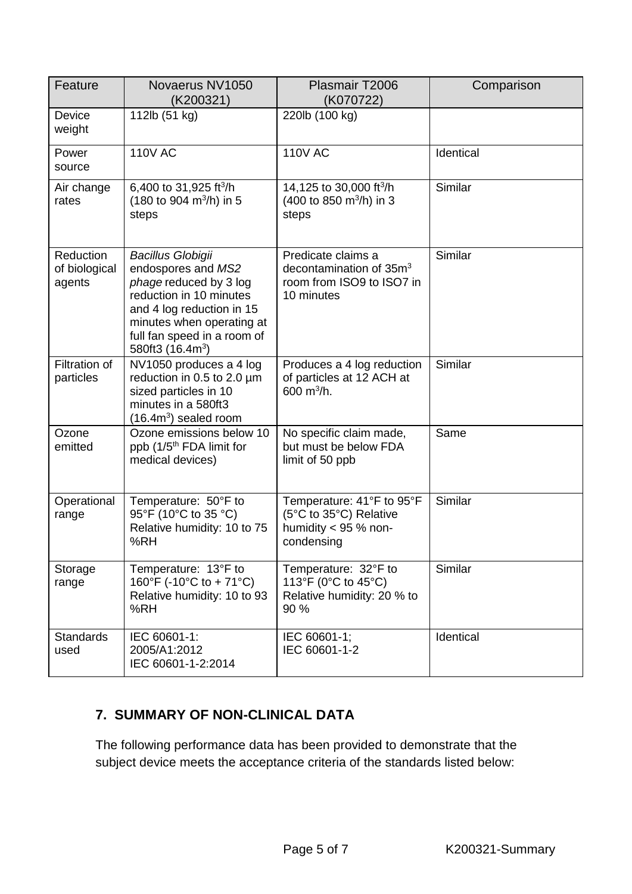| Feature                              | Novaerus NV1050<br>(K200321)                                                                                                                                                                                      | Plasmair T2006<br>(K070722)                                                                          | Comparison |
|--------------------------------------|-------------------------------------------------------------------------------------------------------------------------------------------------------------------------------------------------------------------|------------------------------------------------------------------------------------------------------|------------|
| Device<br>weight                     | 112lb (51 kg)                                                                                                                                                                                                     | 220lb (100 kg)                                                                                       |            |
| Power<br>source                      | <b>110V AC</b>                                                                                                                                                                                                    | <b>110V AC</b>                                                                                       | Identical  |
| Air change<br>rates                  | 6,400 to 31,925 ft <sup>3</sup> /h<br>$(180 \text{ to } 904 \text{ m}^3/\text{h})$ in 5<br>steps                                                                                                                  | 14,125 to 30,000 ft <sup>3</sup> /h<br>(400 to 850 m <sup>3</sup> /h) in 3<br>steps                  | Similar    |
| Reduction<br>of biological<br>agents | <b>Bacillus Globigii</b><br>endospores and MS2<br>phage reduced by 3 log<br>reduction in 10 minutes<br>and 4 log reduction in 15<br>minutes when operating at<br>full fan speed in a room of<br>580ft3 $(16.4m3)$ | Predicate claims a<br>decontamination of 35m <sup>3</sup><br>room from ISO9 to ISO7 in<br>10 minutes | Similar    |
| Filtration of<br>particles           | NV1050 produces a 4 log<br>reduction in 0.5 to 2.0 µm<br>sized particles in 10<br>minutes in a 580ft3<br>$(16.4m3)$ sealed room                                                                                   | Produces a 4 log reduction<br>of particles at 12 ACH at<br>600 $m^3/h$ .                             | Similar    |
| Ozone<br>emitted                     | Ozone emissions below 10<br>ppb (1/5 <sup>th</sup> FDA limit for<br>medical devices)                                                                                                                              | No specific claim made,<br>but must be below FDA<br>limit of 50 ppb                                  | Same       |
| Operational<br>range                 | Temperature: 50°F to<br>95°F (10°C to 35 °C)<br>Relative humidity: 10 to 75<br>%RH                                                                                                                                | Temperature: 41°F to 95°F<br>(5°C to 35°C) Relative<br>humidity $<$ 95 % non-<br>condensing          | Similar    |
| Storage<br>range                     | Temperature: 13°F to<br>160°F (-10°C to + 71°C)<br>Relative humidity: 10 to 93<br>%RH                                                                                                                             | Temperature: 32°F to<br>113°F (0°C to 45°C)<br>Relative humidity: 20 % to<br>90 %                    | Similar    |
| <b>Standards</b><br>used             | IEC 60601-1:<br>2005/A1:2012<br>IEC 60601-1-2:2014                                                                                                                                                                | IEC 60601-1;<br>IEC 60601-1-2                                                                        | Identical  |

# **7. SUMMARY OF NON-CLINICAL DATA**

The following performance data has been provided to demonstrate that the subject device meets the acceptance criteria of the standards listed below: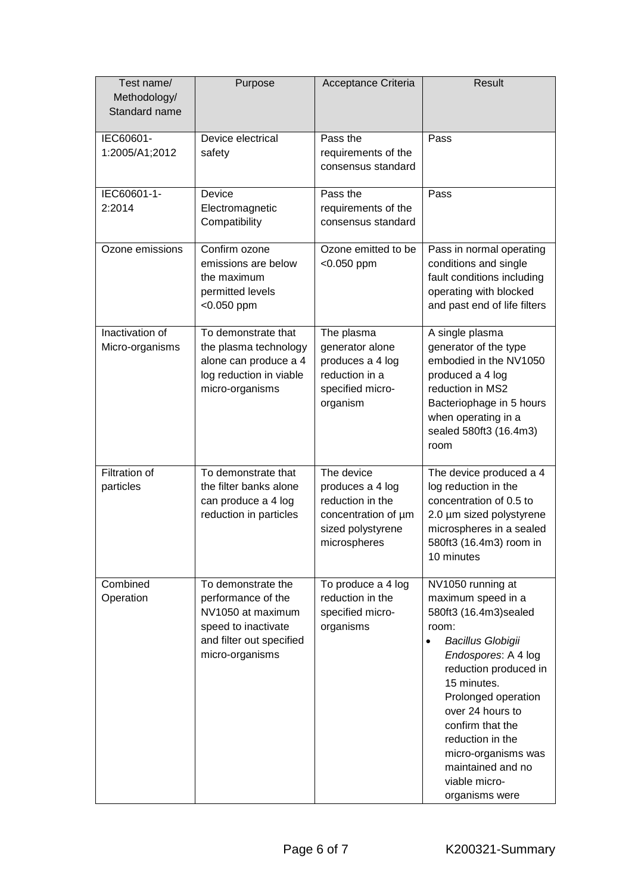| Test name/<br>Methodology/<br>Standard name | Purpose                                                                                                                             | Acceptance Criteria                                                                                            | Result                                                                                                                                                                                                                                                                                                                                               |
|---------------------------------------------|-------------------------------------------------------------------------------------------------------------------------------------|----------------------------------------------------------------------------------------------------------------|------------------------------------------------------------------------------------------------------------------------------------------------------------------------------------------------------------------------------------------------------------------------------------------------------------------------------------------------------|
| IEC60601-<br>1:2005/A1;2012                 | Device electrical<br>safety                                                                                                         | Pass the<br>requirements of the<br>consensus standard                                                          | Pass                                                                                                                                                                                                                                                                                                                                                 |
| IEC60601-1-<br>2:2014                       | Device<br>Electromagnetic<br>Compatibility                                                                                          | Pass the<br>requirements of the<br>consensus standard                                                          | Pass                                                                                                                                                                                                                                                                                                                                                 |
| Ozone emissions                             | Confirm ozone<br>emissions are below<br>the maximum<br>permitted levels<br>$<$ 0.050 ppm                                            | Ozone emitted to be<br>$< 0.050$ ppm                                                                           | Pass in normal operating<br>conditions and single<br>fault conditions including<br>operating with blocked<br>and past end of life filters                                                                                                                                                                                                            |
| Inactivation of<br>Micro-organisms          | To demonstrate that<br>the plasma technology<br>alone can produce a 4<br>log reduction in viable<br>micro-organisms                 | The plasma<br>generator alone<br>produces a 4 log<br>reduction in a<br>specified micro-<br>organism            | A single plasma<br>generator of the type<br>embodied in the NV1050<br>produced a 4 log<br>reduction in MS2<br>Bacteriophage in 5 hours<br>when operating in a<br>sealed 580ft3 (16.4m3)<br>room                                                                                                                                                      |
| <b>Filtration of</b><br>particles           | To demonstrate that<br>the filter banks alone<br>can produce a 4 log<br>reduction in particles                                      | The device<br>produces a 4 log<br>reduction in the<br>concentration of µm<br>sized polystyrene<br>microspheres | The device produced a 4<br>log reduction in the<br>concentration of 0.5 to<br>2.0 µm sized polystyrene<br>microspheres in a sealed<br>580ft3 (16.4m3) room in<br>10 minutes                                                                                                                                                                          |
| Combined<br>Operation                       | To demonstrate the<br>performance of the<br>NV1050 at maximum<br>speed to inactivate<br>and filter out specified<br>micro-organisms | To produce a 4 log<br>reduction in the<br>specified micro-<br>organisms                                        | NV1050 running at<br>maximum speed in a<br>580ft3 (16.4m3) sealed<br>room:<br><b>Bacillus Globigii</b><br>$\bullet$<br>Endospores: A 4 log<br>reduction produced in<br>15 minutes.<br>Prolonged operation<br>over 24 hours to<br>confirm that the<br>reduction in the<br>micro-organisms was<br>maintained and no<br>viable micro-<br>organisms were |